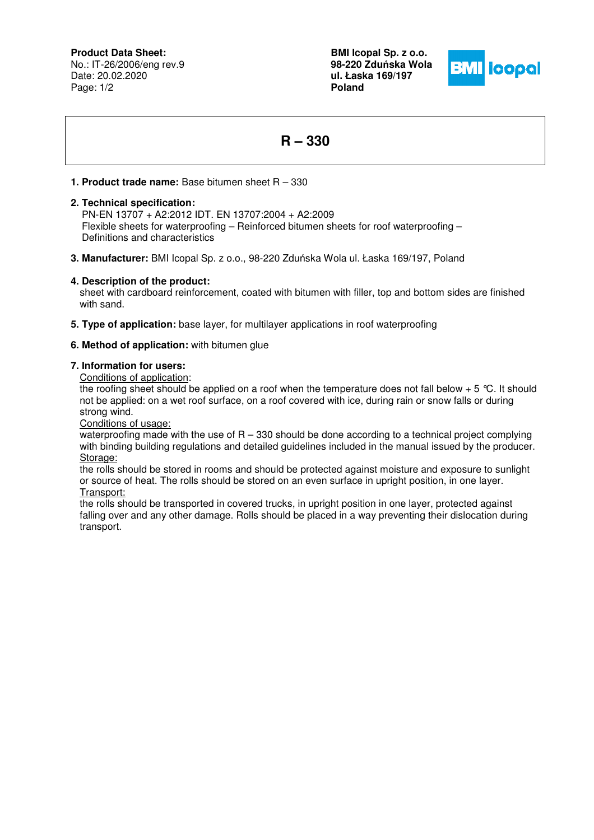**Product Data Sheet:**

No.: IT-26/2006/eng rev.9 Date: 20.02.2020 Page: 1/2

**BMI Icopal Sp. z o.o. 98-220 Zdu**ń**ska Wola ul. Łaska 169/197 Poland** 



# **R – 330**

## **1. Product trade name:** Base bitumen sheet R – 330

## **2. Technical specification:**

 PN-EN 13707 + A2:2012 IDT. EN 13707:2004 + A2:2009 Flexible sheets for waterproofing – Reinforced bitumen sheets for roof waterproofing – Definitions and characteristics

**3. Manufacturer:** BMI Icopal Sp. z o.o., 98-220 Zduńska Wola ul. Łaska 169/197, Poland

## **4. Description of the product:**

sheet with cardboard reinforcement, coated with bitumen with filler, top and bottom sides are finished with sand.

**5. Type of application:** base layer, for multilayer applications in roof waterproofing

## **6. Method of application:** with bitumen glue

### **7. Information for users:**

Conditions of application:

the roofing sheet should be applied on a roof when the temperature does not fall below  $+ 5 \degree C$ . It should not be applied: on a wet roof surface, on a roof covered with ice, during rain or snow falls or during strong wind.

Conditions of usage:

waterproofing made with the use of  $R - 330$  should be done according to a technical project complying with binding building regulations and detailed guidelines included in the manual issued by the producer. Storage:

the rolls should be stored in rooms and should be protected against moisture and exposure to sunlight or source of heat. The rolls should be stored on an even surface in upright position, in one layer. Transport:

the rolls should be transported in covered trucks, in upright position in one layer, protected against falling over and any other damage. Rolls should be placed in a way preventing their dislocation during transport.